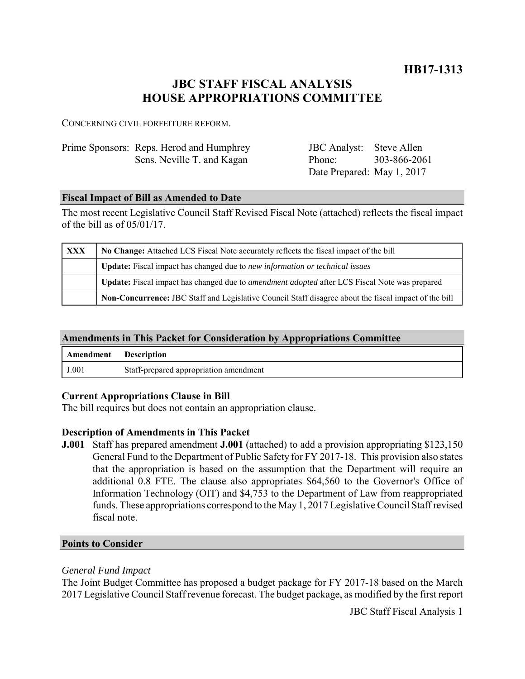**HB17-1313**

# **JBC STAFF FISCAL ANALYSIS HOUSE APPROPRIATIONS COMMITTEE**

CONCERNING CIVIL FORFEITURE REFORM.

| Prime Sponsors: Reps. Herod and Humphrey | <b>JBC</b> Analyst: Steve Allen |              |
|------------------------------------------|---------------------------------|--------------|
| Sens. Neville T. and Kagan               | Phone:                          | 303-866-2061 |
|                                          | Date Prepared: May 1, 2017      |              |

## **Fiscal Impact of Bill as Amended to Date**

The most recent Legislative Council Staff Revised Fiscal Note (attached) reflects the fiscal impact of the bill as of 05/01/17.

| <b>XXX</b> | No Change: Attached LCS Fiscal Note accurately reflects the fiscal impact of the bill                 |  |
|------------|-------------------------------------------------------------------------------------------------------|--|
|            | Update: Fiscal impact has changed due to new information or technical issues                          |  |
|            | Update: Fiscal impact has changed due to <i>amendment adopted</i> after LCS Fiscal Note was prepared  |  |
|            | Non-Concurrence: JBC Staff and Legislative Council Staff disagree about the fiscal impact of the bill |  |

# **Amendments in This Packet for Consideration by Appropriations Committee**

| <b>Amendment</b> Description |                                        |
|------------------------------|----------------------------------------|
| J.001                        | Staff-prepared appropriation amendment |

## **Current Appropriations Clause in Bill**

The bill requires but does not contain an appropriation clause.

# **Description of Amendments in This Packet**

**J.001** Staff has prepared amendment **J.001** (attached) to add a provision appropriating \$123,150 General Fund to the Department of Public Safety for FY 2017-18. This provision also states that the appropriation is based on the assumption that the Department will require an additional 0.8 FTE. The clause also appropriates \$64,560 to the Governor's Office of Information Technology (OIT) and \$4,753 to the Department of Law from reappropriated funds. These appropriations correspond to the May 1, 2017 Legislative Council Staff revised fiscal note.

## **Points to Consider**

## *General Fund Impact*

The Joint Budget Committee has proposed a budget package for FY 2017-18 based on the March 2017 Legislative Council Staff revenue forecast. The budget package, as modified by the first report